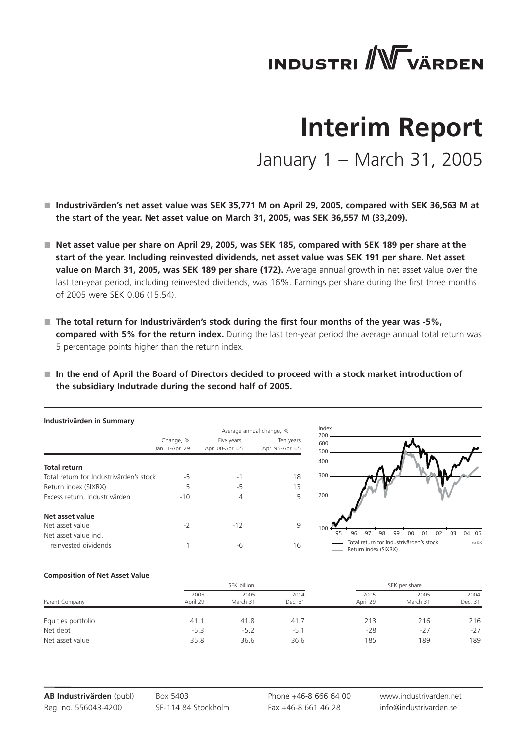# **INDUSTRI** WVÄRDEN

## **Interim Report**

January 1 – March 31, 2005

- Industrivärden's net asset value was SEK 35,771 M on April 29, 2005, compared with SEK 36,563 M at  **the start of the year. Net asset value on March 31, 2005, was SEK 36,557 M (33,209).**
- Net asset value per share on April 29, 2005, was SEK 185, compared with SEK 189 per share at the **start of the year. Including reinvested dividends, net asset value was SEK 191 per share. Net asset**  value on March 31, 2005, was SEK 189 per share (172). Average annual growth in net asset value over the last ten-year period, including reinvested dividends, was 16%. Earnings per share during the first three months of 2005 were SEK 0.06 (15.54).
- The total return for Industrivärden's stock during the first four months of the year was -5%, **compared with 5% for the return index.** During the last ten-year period the average annual total return was 5 percentage points higher than the return index.
- In the end of April the Board of Directors decided to proceed with a stock market introduction of  **the subsidiary Indutrade during the second half of 2005.**

| Industrivärden in Summary               |                             |                                |                              |
|-----------------------------------------|-----------------------------|--------------------------------|------------------------------|
|                                         |                             |                                | Average annual change, %     |
|                                         | Change, %<br>Jan. 1-Apr. 29 | Five years,<br>Apr. 00-Apr. 05 | Ten years<br>Apr. 95-Apr. 05 |
| <b>Total return</b>                     |                             |                                |                              |
| Total return for Industrivärden's stock | -5                          | - 1                            | 18                           |
| Return index (SIXRX)                    | 5                           | -5                             | 13                           |
| Excess return, Industrivärden           | $-10$                       | 4                              | 5                            |
| Net asset value                         |                             |                                |                              |
| Net asset value                         | $-2$                        | $-12$                          | 9                            |
| Net asset value incl.                   |                             |                                |                              |
| reinvested dividends                    |                             | -6                             | 16                           |



#### **Composition of Net Asset Value**

|                    |                  | SEK billion      |                 |                  | SEK per share    |                 |  |  |
|--------------------|------------------|------------------|-----------------|------------------|------------------|-----------------|--|--|
| Parent Company     | 2005<br>April 29 | 2005<br>March 31 | 2004<br>Dec. 31 | 2005<br>April 29 | 2005<br>March 31 | 2004<br>Dec. 31 |  |  |
| Equities portfolio | 41.1             | 41.8             | 41.7            | 213              | 216              | 216             |  |  |
| Net debt           | $-5.3$           | $-5.2$           | $-5.1$          | $-28$            | $-27$            | $-27$           |  |  |
| Net asset value    | 35.8             | 36.6             | 36.6            | 185              | 189              | 189             |  |  |

**AB Industrivärden** (publ) Reg. no. 556043-4200

Box 5403 SE-114 84 Stockholm

Phone +46-8 666 64 00 Fax +46-8 661 46 28

www.industrivarden.net info@industrivarden.se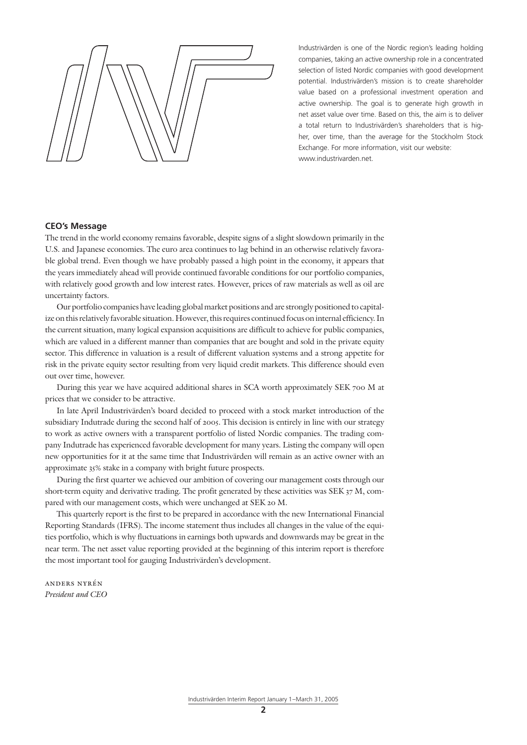Industrivärden is one of the Nordic region's leading holding companies, taking an active ownership role in a concentrated selection of listed Nordic companies with good development potential. Industrivärden's mission is to create shareholder value based on a professional investment operation and active ownership. The goal is to generate high growth in net asset value over time. Based on this, the aim is to deliver a total return to Industrivärden's shareholders that is higher, over time, than the average for the Stockholm Stock Exchange. For more information, visit our website: www.industrivarden.net.

## **CEO's Message**

The trend in the world economy remains favorable, despite signs of a slight slowdown primarily in the U.S. and Japanese economies. The euro area continues to lag behind in an otherwise relatively favorable global trend. Even though we have probably passed a high point in the economy, it appears that the years immediately ahead will provide continued favorable conditions for our portfolio companies, with relatively good growth and low interest rates. However, prices of raw materials as well as oil are uncertainty factors.

Our portfolio companies have leading global market positions and are strongly positioned to capitalize on this relatively favorable situation. However, this requires continued focus on internal efficiency. In the current situation, many logical expansion acquisitions are difficult to achieve for public companies, which are valued in a different manner than companies that are bought and sold in the private equity sector. This difference in valuation is a result of different valuation systems and a strong appetite for risk in the private equity sector resulting from very liquid credit markets. This difference should even out over time, however.

During this year we have acquired additional shares in SCA worth approximately SEK 700 M at prices that we consider to be attractive.

In late April Industrivärden's board decided to proceed with a stock market introduction of the subsidiary Indutrade during the second half of 2005. This decision is entirely in line with our strategy to work as active owners with a transparent portfolio of listed Nordic companies. The trading company Indutrade has experienced favorable development for many years. Listing the company will open new opportunities for it at the same time that Industrivärden will remain as an active owner with an approximate 35% stake in a company with bright future prospects.

During the first quarter we achieved our ambition of covering our management costs through our short-term equity and derivative trading. The profit generated by these activities was SEK 37 M, compared with our management costs, which were unchanged at SEK 20 M.

This quarterly report is the first to be prepared in accordance with the new International Financial Reporting Standards (IFRS). The income statement thus includes all changes in the value of the equities portfolio, which is why fluctuations in earnings both upwards and downwards may be great in the near term. The net asset value reporting provided at the beginning of this interim report is therefore the most important tool for gauging Industrivärden's development.

anders nyrén *President and CEO*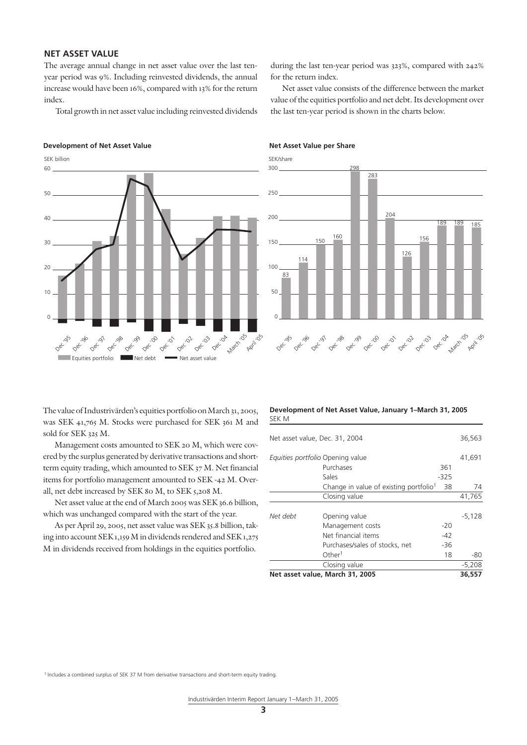## **NET ASSET VALUE**

The average annual change in net asset value over the last tenyear period was 9%. Including reinvested dividends, the annual increase would have been 16%, compared with 13% for the return index.

Total growth in net asset value including reinvested dividends

#### **Development of Net Asset Value Net Asset Value per Share**



during the last ten-year period was 323%, compared with 242% for the return index.

Net asset value consists of the difference between the market value of the equities portfolio and net debt. Its development over the last ten-year period is shown in the charts below.



The value of Industrivärden's equities portfolio on March 31, 2005, was SEK 41,765 M. Stocks were purchased for SEK 361 M and sold for SEK 325 M.

Management costs amounted to SEK 20 M, which were covered by the surplus generated by derivative transactions and shortterm equity trading, which amounted to SEK 37 M. Net financial items for portfolio management amounted to SEK -42 M. Overall, net debt increased by SEK 80 M, to SEK 5,208 M.

Net asset value at the end of March 2005 was SEK 36.6 billion, which was unchanged compared with the start of the year.

As per April 29, 2005, net asset value was SEK 35.8 billion, taking into account SEK 1,159 M in dividends rendered and SEK 1,275 M in dividends received from holdings in the equities portfolio.

#### **Development of Net Asset Value, January 1–March 31, 2005**  SEK M

| Net asset value, March 31, 2005<br>36,557 |                                                    |       |          |  |  |  |
|-------------------------------------------|----------------------------------------------------|-------|----------|--|--|--|
|                                           | Closing value                                      |       | $-5,208$ |  |  |  |
|                                           | Other <sup>1</sup>                                 | 18    | -80      |  |  |  |
|                                           | Purchases/sales of stocks, net                     | $-36$ |          |  |  |  |
|                                           | Net financial items                                | $-42$ |          |  |  |  |
|                                           | Management costs                                   | $-20$ |          |  |  |  |
| Net debt                                  | Opening value                                      |       | $-5,128$ |  |  |  |
|                                           | Closing value                                      |       | 41,765   |  |  |  |
|                                           | Change in value of existing portfolio <sup>1</sup> | 38    | 74       |  |  |  |
|                                           | Sales                                              | -325  |          |  |  |  |
|                                           | Purchases                                          | 361   |          |  |  |  |
| Equities portfolio Opening value          |                                                    |       | 41,691   |  |  |  |
| Net asset value, Dec. 31, 2004            |                                                    |       |          |  |  |  |
|                                           |                                                    |       |          |  |  |  |

<sup>1</sup> Includes a combined surplus of SEK 37 M from derivative transactions and short-term equity trading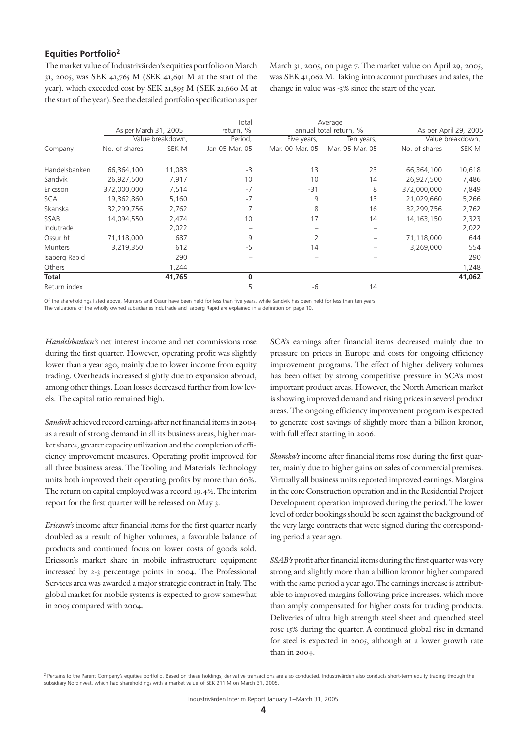## **Equities Portfolio2**

The market value of Industrivärden's equities portfolio on March 31, 2005, was SEK 41,765 M (SEK 41,691 M at the start of the year), which exceeded cost by SEK 21,895 M (SEK 21,660 M at the start of the year). See the detailed portfolio specification as per

March 31, 2005, on page 7. The market value on April 29, 2005, was SEK 41,062 M. Taking into account purchases and sales, the change in value was -3% since the start of the year.

|                |                       |                  | Total          |                 | Average                |               |                       |
|----------------|-----------------------|------------------|----------------|-----------------|------------------------|---------------|-----------------------|
|                | As per March 31, 2005 |                  | return, %      |                 | annual total return, % |               | As per April 29, 2005 |
|                |                       | Value breakdown, | Period,        | Five years,     | Ten years,             |               | Value breakdown,      |
| Company        | No. of shares         | SEK M            | Jan 05-Mar. 05 | Mar. 00-Mar. 05 | Mar. 95-Mar. 05        | No. of shares | SEK M                 |
|                |                       |                  |                |                 |                        |               |                       |
| Handelsbanken  | 66,364,100            | 11,083           | $-3$           | 13              | 23                     | 66,364,100    | 10,618                |
| Sandvik        | 26,927,500            | 7,917            | 10             | 10              | 14                     | 26,927,500    | 7,486                 |
| Ericsson       | 372,000,000           | 7,514            | $-7$           | $-31$           | 8                      | 372,000,000   | 7,849                 |
| <b>SCA</b>     | 19,362,860            | 5,160            | $-7$           | 9               | 13                     | 21,029,660    | 5,266                 |
| Skanska        | 32,299,756            | 2,762            |                | 8               | 16                     | 32,299,756    | 2,762                 |
| SSAB           | 14,094,550            | 2,474            | 10             | 17              | 14                     | 14, 163, 150  | 2,323                 |
| Indutrade      |                       | 2,022            |                |                 |                        |               | 2,022                 |
| Ossur hf       | 71,118,000            | 687              | 9              | 2               |                        | 71,118,000    | 644                   |
| <b>Munters</b> | 3,219,350             | 612              | -5             | 14              |                        | 3,269,000     | 554                   |
| Isaberg Rapid  |                       | 290              |                |                 |                        |               | 290                   |
| Others         |                       | 1,244            |                |                 |                        |               | 1,248                 |
| <b>Total</b>   |                       | 41,765           | 0              |                 |                        |               | 41,062                |
| Return index   |                       |                  |                | -6              | 14                     |               |                       |

Of the shareholdings listed above, Munters and Ossur have been held for less than five years, while Sandvik has been held for less than ten years. The valuations of the wholly owned subsidiaries Indutrade and Isaberg Rapid are explained in a definition on page 10.

*Handelsbanken's* net interest income and net commissions rose during the first quarter. However, operating profit was slightly lower than a year ago, mainly due to lower income from equity trading. Overheads increased slightly due to expansion abroad, among other things. Loan losses decreased further from low levels. The capital ratio remained high.

*Sandvik* achieved record earnings after net financial items in 2004 as a result of strong demand in all its business areas, higher market shares, greater capacity utilization and the completion of efficiency improvement measures. Operating profit improved for all three business areas. The Tooling and Materials Technology units both improved their operating profits by more than 60%. The return on capital employed was a record 19.4%. The interim report for the first quarter will be released on May 3.

*Ericsson's* income after financial items for the first quarter nearly doubled as a result of higher volumes, a favorable balance of products and continued focus on lower costs of goods sold. Ericsson's market share in mobile infrastructure equipment increased by 2-3 percentage points in 2004. The Professional Services area was awarded a major strategic contract in Italy. The global market for mobile systems is expected to grow somewhat in 2005 compared with 2004.

SCA's earnings after financial items decreased mainly due to pressure on prices in Europe and costs for ongoing efficiency improvement programs. The effect of higher delivery volumes has been offset by strong competitive pressure in SCA's most important product areas. However, the North American market is showing improved demand and rising prices in several product areas. The ongoing efficiency improvement program is expected to generate cost savings of slightly more than a billion kronor, with full effect starting in 2006.

*Skanska's* income after financial items rose during the first quarter, mainly due to higher gains on sales of commercial premises. Virtually all business units reported improved earnings. Margins in the core Construction operation and in the Residential Project Development operation improved during the period. The lower level of order bookings should be seen against the background of the very large contracts that were signed during the corresponding period a year ago.

*SSAB's* profit after financial items during the first quarter was very strong and slightly more than a billion kronor higher compared with the same period a year ago. The earnings increase is attributable to improved margins following price increases, which more than amply compensated for higher costs for trading products. Deliveries of ultra high strength steel sheet and quenched steel rose 15% during the quarter. A continued global rise in demand for steel is expected in 2005, although at a lower growth rate than in 2004.

<sup>2</sup> Pertains to the Parent Company's equities portfolio. Based on these holdings, derivative transactions are also conducted. Industrivärden also conducts short-term equity trading through the subsidiary Nordinvest, which had shareholdings with a market value of SEK 211 M on March 31, 2005.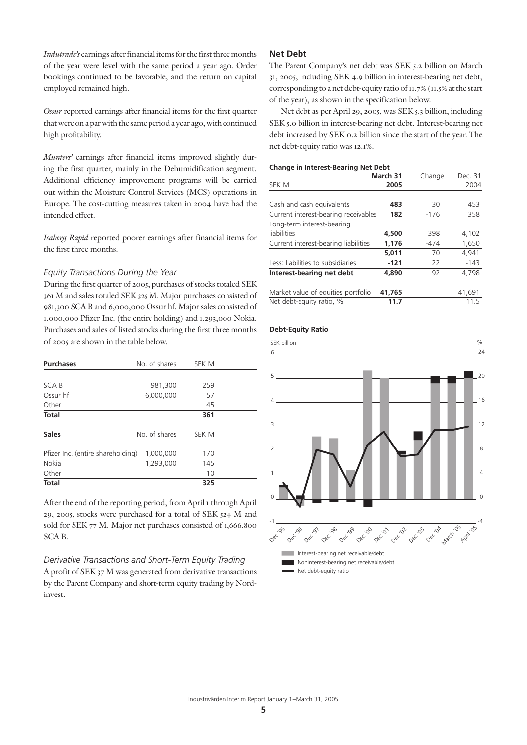*Indutrade's* earnings after financial items for the first three months of the year were level with the same period a year ago. Order bookings continued to be favorable, and the return on capital employed remained high.

*Ossur* reported earnings after financial items for the first quarter that were on a par with the same period a year ago, with continued high profitability.

*Munters'* earnings after financial items improved slightly during the first quarter, mainly in the Dehumidification segment. Additional efficiency improvement programs will be carried out within the Moisture Control Services (MCS) operations in Europe. The cost-cutting measures taken in 2004 have had the intended effect.

*Isaberg Rapid* reported poorer earnings after financial items for the first three months.

## *Equity Transactions During the Year*

During the first quarter of 2005, purchases of stocks totaled SEK 361 M and sales totaled SEK 325 M. Major purchases consisted of 981,300 SCA B and 6,000,000 Ossur hf. Major sales consisted of 1,000,000 Pfizer Inc. (the entire holding) and 1,293,000 Nokia. Purchases and sales of listed stocks during the first three months of 2005 are shown in the table below.

| <b>Purchases</b>                  | No. of shares | SEK M |  |
|-----------------------------------|---------------|-------|--|
|                                   |               |       |  |
| SCA B                             | 981,300       | 259   |  |
| Ossur hf                          | 6,000,000     | 57    |  |
| Other                             |               | 45    |  |
| <b>Total</b>                      |               | 361   |  |
| <b>Sales</b>                      | No. of shares | SEK M |  |
| Pfizer Inc. (entire shareholding) | 1,000,000     | 170   |  |
| Nokia                             | 1,293,000     | 145   |  |
| Other                             |               | 10    |  |
| <b>Total</b>                      |               | 325   |  |

After the end of the reporting period, from April 1 through April 29, 2005, stocks were purchased for a total of SEK 524 M and sold for SEK 77 M. Major net purchases consisted of 1,666,800 SCA B.

*Derivative Transactions and Short-Term Equity Trading* A profit of SEK 37 M was generated from derivative transactions by the Parent Company and short-term equity trading by Nordinvest.

## **Net Debt**

The Parent Company's net debt was SEK 5.2 billion on March 31, 2005, including SEK 4.9 billion in interest-bearing net debt, corresponding to a net debt-equity ratio of 11.7% (11.5% at the start of the year), as shown in the specification below.

Net debt as per April 29, 2005, was SEK 5.3 billion, including SEK 5.0 billion in interest-bearing net debt. Interest-bearing net debt increased by SEK 0.2 billion since the start of the year. The net debt-equity ratio was 12.1%.

#### **Change in Interest-Bearing Net Debt**

| SEK M                                | March 31<br>2005 | Change | Dec. 31<br>2004 |
|--------------------------------------|------------------|--------|-----------------|
|                                      |                  |        |                 |
| Cash and cash equivalents            | 483              | 30     | 453             |
| Current interest-bearing receivables | 182              | $-176$ | 358             |
| Long-term interest-bearing           |                  |        |                 |
| liabilities                          | 4,500            | 398    | 4,102           |
| Current interest-bearing liabilities | 1,176            | -474   | 1,650           |
|                                      | 5,011            | 70     | 4,941           |
| Less: liabilities to subsidiaries    | $-121$           | 22     | $-143$          |
| Interest-bearing net debt            | 4.890            | 92     | 4.798           |
| Market value of equities portfolio   | 41.765           |        | 41,691          |
| Net debt-equity ratio, %             | 11.7             |        | 11.5            |

### **Debt-Equity Ratio**

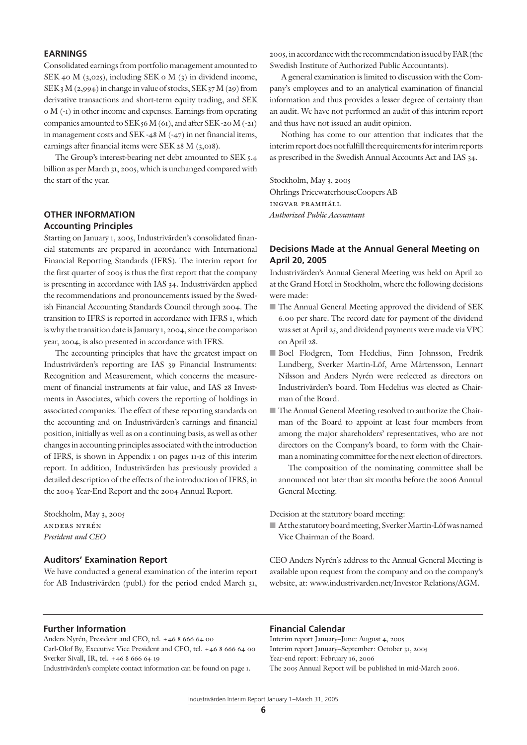## **EARNINGS**

Consolidated earnings from portfolio management amounted to SEK 40 M (3,025), including SEK 0 M (3) in dividend income, SEK 3 M  $(2,994)$  in change in value of stocks, SEK 37 M  $(29)$  from derivative transactions and short-term equity trading, and SEK 0 M (-1) in other income and expenses. Earnings from operating companies amounted to SEK 56 M  $(61)$ , and after SEK -20 M  $(-21)$ in management costs and SEK -48 M (-47) in net financial items, earnings after financial items were SEK 28 M (3,018).

The Group's interest-bearing net debt amounted to SEK 5.4 billion as per March 31, 2005, which is unchanged compared with the start of the year.

## **OTHER INFORMATION Accounting Principles**

Starting on January 1, 2005, Industrivärden's consolidated financial statements are prepared in accordance with International Financial Reporting Standards (IFRS). The interim report for the first quarter of 2005 is thus the first report that the company is presenting in accordance with IAS 34. Industrivärden applied the recommendations and pronouncements issued by the Swedish Financial Accounting Standards Council through 2004. The transition to IFRS is reported in accordance with IFRS 1, which is why the transition date is January 1, 2004, since the comparison year, 2004, is also presented in accordance with IFRS.

The accounting principles that have the greatest impact on Industrivärden's reporting are IAS 39 Financial Instruments: Recognition and Measurement, which concerns the measurement of financial instruments at fair value, and IAS 28 Investments in Associates, which covers the reporting of holdings in associated companies. The effect of these reporting standards on the accounting and on Industrivärden's earnings and financial position, initially as well as on a continuing basis, as well as other changes in accounting principles associated with the introduction of IFRS, is shown in Appendix 1 on pages 11-12 of this interim report. In addition, Industrivärden has previously provided a detailed description of the effects of the introduction of IFRS, in the 2004 Year-End Report and the 2004 Annual Report.

Stockholm, May 3, 2005 anders nyrén *President and CEO*

## **Auditors' Examination Report**

We have conducted a general examination of the interim report for AB Industrivärden (publ.) for the period ended March 31, 2005, in accordance with the recommendation issued by FAR (the Swedish Institute of Authorized Public Accountants).

A general examination is limited to discussion with the Company's employees and to an analytical examination of financial information and thus provides a lesser degree of certainty than an audit. We have not performed an audit of this interim report and thus have not issued an audit opinion.

Nothing has come to our attention that indicates that the interim report does not fulfill the requirements for interim reports as prescribed in the Swedish Annual Accounts Act and IAS 34.

Stockholm, May 3, 2005 Öhrlings PricewaterhouseCoopers AB ingvar pramhäll *Authorized Public Accountant*

## **Decisions Made at the Annual General Meeting on April 20, 2005**

Industrivärden's Annual General Meeting was held on April 20 at the Grand Hotel in Stockholm, where the following decisions were made:

- The Annual General Meeting approved the dividend of SEK 6.00 per share. The record date for payment of the dividend was set at April 25, and dividend payments were made via VPC on April 28.
- Boel Flodgren, Tom Hedelius, Finn Johnsson, Fredrik Lundberg, Sverker Martin-Löf, Arne Mårtensson, Lennart Nilsson and Anders Nyrén were reelected as directors on Industrivärden's board. Tom Hedelius was elected as Chairman of the Board.
- The Annual General Meeting resolved to authorize the Chairman of the Board to appoint at least four members from among the major shareholders' representatives, who are not directors on the Company's board, to form with the Chairman a nominating committee for the next election of directors.

 The composition of the nominating committee shall be announced not later than six months before the 2006 Annual General Meeting.

Decision at the statutory board meeting:

■ At the statutory board meeting, Sverker Martin-Löf was named Vice Chairman of the Board.

CEO Anders Nyrén's address to the Annual General Meeting is available upon request from the company and on the company's website, at: www.industrivarden.net/Investor Relations/AGM.

#### **Further Information**

Anders Nyrén, President and CEO, tel. +46 8 666 64 00 Carl-Olof By, Executive Vice President and CFO, tel. +46 8 666 64 00 Sverker Sivall, IR, tel. +46 8 666 64 19

Industrivärden's complete contact information can be found on page 1.

### **Financial Calendar**

Interim report January–June: August 4, 2005 Interim report January–September: October 31, 2005 Year-end report: February 16, 2006 The 2005 Annual Report will be published in mid-March 2006.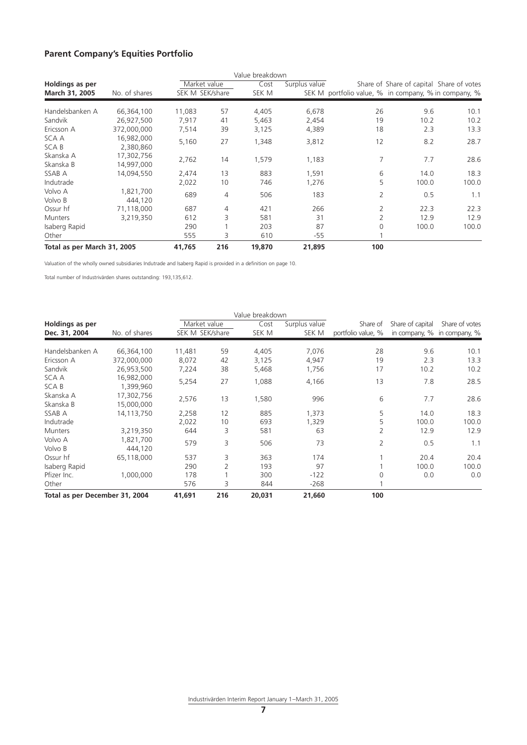## **Parent Company's Equities Portfolio**

|                             |                          |                 |     | Value breakdown |               |                                                      |                                          |       |
|-----------------------------|--------------------------|-----------------|-----|-----------------|---------------|------------------------------------------------------|------------------------------------------|-------|
| Holdings as per             |                          | Market value    |     | Cost            | Surplus value |                                                      | Share of Share of capital Share of votes |       |
| March 31, 2005              | No. of shares            | SEK M SEK/share |     | SEK M           |               | SEK M portfolio value, % in company, % in company, % |                                          |       |
| Handelsbanken A             | 66,364,100               | 11,083          | 57  | 4,405           | 6,678         | 26                                                   | 9.6                                      | 10.1  |
| Sandvik                     | 26,927,500               | 7,917           | 41  | 5,463           | 2,454         | 19                                                   | 10.2                                     | 10.2  |
| Ericsson A                  | 372,000,000              | 7,514           | 39  | 3,125           | 4,389         | 18                                                   | 2.3                                      | 13.3  |
| SCA A<br>SCA B              | 16,982,000<br>2,380,860  | 5,160           | 27  | 1,348           | 3,812         | 12                                                   | 8.2                                      | 28.7  |
| Skanska A<br>Skanska B      | 17,302,756<br>14,997,000 | 2,762           | 14  | 1,579           | 1,183         | 7                                                    | 7.7                                      | 28.6  |
| SSAB A                      | 14.094.550               | 2,474           | 13  | 883             | 1,591         | 6                                                    | 14.0                                     | 18.3  |
| Indutrade                   |                          | 2,022           | 10  | 746             | 1,276         | 5                                                    | 100.0                                    | 100.0 |
| Volvo A<br>Volvo B          | 1,821,700<br>444,120     | 689             | 4   | 506             | 183           | $\overline{2}$                                       | 0.5                                      | 1.1   |
| Ossur hf                    | 71,118,000               | 687             | 4   | 421             | 266           | 2                                                    | 22.3                                     | 22.3  |
| <b>Munters</b>              | 3,219,350                | 612             | 3   | 581             | 31            |                                                      | 12.9                                     | 12.9  |
| Isaberg Rapid               |                          | 290             |     | 203             | 87            | 0                                                    | 100.0                                    | 100.0 |
| Other                       |                          | 555             | 3   | 610             | -55           |                                                      |                                          |       |
| Total as per March 31, 2005 |                          | 41,765          | 216 | 19,870          | 21,895        | 100                                                  |                                          |       |

Valuation of the wholly owned subsidiaries Indutrade and Isaberg Rapid is provided in a definition on page 10.

Total number of Industrivärden shares outstanding: 193,135,612.

|                                |                          |                 |     | Value breakdown |               |                    |                             |                |
|--------------------------------|--------------------------|-----------------|-----|-----------------|---------------|--------------------|-----------------------------|----------------|
| Holdings as per                |                          | Market value    |     | Cost            | Surplus value | Share of           | Share of capital            | Share of votes |
| Dec. 31, 2004                  | No. of shares            | SEK M SEK/share |     | SEK M           | SEK M         | portfolio value, % | in company, % in company, % |                |
| Handelsbanken A                | 66,364,100               | 11,481          | 59  | 4,405           | 7,076         | 28                 | 9.6                         | 10.1           |
| Ericsson A                     | 372,000,000              | 8,072           | 42  | 3,125           | 4,947         | 19                 | 2.3                         | 13.3           |
| Sandvik                        | 26,953,500               | 7,224           | 38  | 5,468           | 1,756         | 17                 | 10.2                        | 10.2           |
| SCA A<br>SCA B                 | 16,982,000<br>1,399,960  | 5,254           | 27  | 1,088           | 4,166         | 13                 | 7.8                         | 28.5           |
| Skanska A<br>Skanska B         | 17,302,756<br>15,000,000 | 2,576           | 13  | 1,580           | 996           | 6                  | 7.7                         | 28.6           |
| SSAB A                         | 14,113,750               | 2,258           | 12  | 885             | 1,373         | 5                  | 14.0                        | 18.3           |
| Indutrade                      |                          | 2,022           | 10  | 693             | 1,329         | 5                  | 100.0                       | 100.0          |
| <b>Munters</b>                 | 3,219,350                | 644             | 3   | 581             | 63            | 2                  | 12.9                        | 12.9           |
| Volvo A<br>Volvo B             | 1,821,700<br>444,120     | 579             | 3   | 506             | 73            | $\overline{2}$     | 0.5                         | 1.1            |
| Ossur hf                       | 65,118,000               | 537             | 3   | 363             | 174           |                    | 20.4                        | 20.4           |
| Isaberg Rapid                  |                          | 290             | 2   | 193             | 97            |                    | 100.0                       | 100.0          |
| Pfizer Inc.                    | 1,000,000                | 178             |     | 300             | $-122$        | 0                  | 0.0                         | 0.0            |
| Other                          |                          | 576             | 3   | 844             | -268          |                    |                             |                |
| Total as per December 31, 2004 |                          | 41,691          | 216 | 20,031          | 21,660        | 100                |                             |                |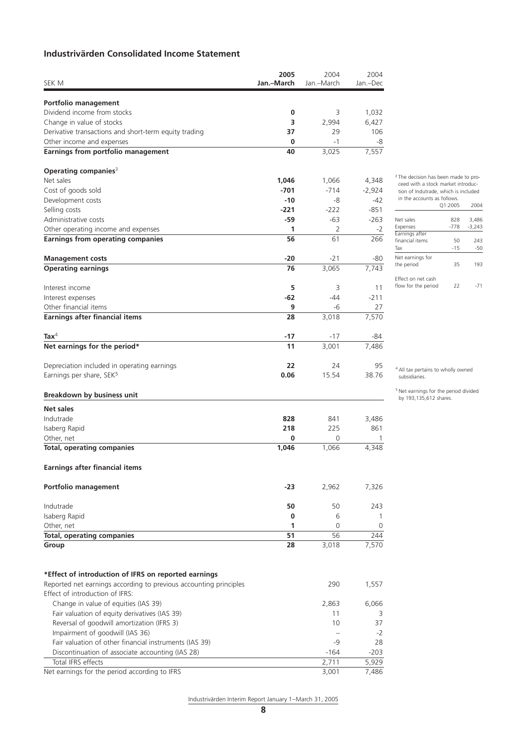## **Industrivärden Consolidated Income Statement**

| Jan.-March<br>Jan.-March<br>Jan.-Dec<br>Portfolio management<br>Dividend income from stocks<br>0<br>3<br>1,032<br>Change in value of stocks<br>3<br>6,427<br>2,994<br>106<br>Derivative transactions and short-term equity trading<br>37<br>29<br>0<br>$-1$<br>-8<br>7,557<br>40<br>3,025<br>Operating companies <sup>3</sup><br>1,046<br>1,066<br>4,348<br>Cost of goods sold<br>$-701$<br>$-714$<br>$-2,924$<br>$-10$<br>-42<br>-8<br>$-221$<br>$-222$<br>$-851$<br>-63<br>$-263$<br>-59<br>1<br>2<br>$-2$<br>266<br>56<br>61<br>-20<br>-21<br>-80<br>7,743<br>76<br>3,065<br>5<br>3<br>Interest income<br>11<br>-62<br>$-211$<br>Interest expenses<br>-44<br>Other financial items<br>9<br>-6<br>27<br>7,570<br>28<br>3,018<br>$\text{Tax}^4$<br>-17<br>-17<br>-84<br>11<br>3,001<br>7,486<br>22<br>95<br>Depreciation included in operating earnings<br>24<br>Earnings per share, SEK <sup>5</sup><br>15.54<br>0.06<br>38.76<br>Indutrade<br>828<br>841<br>3,486<br>Isaberg Rapid<br>225<br>861<br>218<br>Other, net<br>0<br>0<br><b>Total, operating companies</b><br>1,046<br>1,066<br>4,348<br>-23<br>2,962<br>7,326<br>50<br>50<br>243<br>Isaberg Rapid<br>0<br>6<br>1<br>Other, net<br>1<br>0<br>$\Omega$<br><b>Total, operating companies</b><br>51<br>56<br>244<br>7,570<br>28<br>3,018<br>Reported net earnings according to previous accounting principles<br>290<br>1,557<br>Effect of introduction of IFRS:<br>Change in value of equities (IAS 39)<br>2,863<br>6,066<br>Fair valuation of equity derivatives (IAS 39)<br>11<br>3<br>Reversal of goodwill amortization (IFRS 3)<br>10<br>37<br>Impairment of goodwill (IAS 36)<br>-2<br>$\overline{\phantom{a}}$<br>Fair valuation of other financial instruments (IAS 39)<br>$-9$<br>28<br>Discontinuation of associate accounting (IAS 28)<br>$-164$<br>$-203$<br>Total IFRS effects<br>2,711<br>5,929<br>3,001<br>7,486 |                                                      | 2005 | 2004 | 2004 |
|-------------------------------------------------------------------------------------------------------------------------------------------------------------------------------------------------------------------------------------------------------------------------------------------------------------------------------------------------------------------------------------------------------------------------------------------------------------------------------------------------------------------------------------------------------------------------------------------------------------------------------------------------------------------------------------------------------------------------------------------------------------------------------------------------------------------------------------------------------------------------------------------------------------------------------------------------------------------------------------------------------------------------------------------------------------------------------------------------------------------------------------------------------------------------------------------------------------------------------------------------------------------------------------------------------------------------------------------------------------------------------------------------------------------------------------------------------------------------------------------------------------------------------------------------------------------------------------------------------------------------------------------------------------------------------------------------------------------------------------------------------------------------------------------------------------------------------------------------------------------------------------------|------------------------------------------------------|------|------|------|
|                                                                                                                                                                                                                                                                                                                                                                                                                                                                                                                                                                                                                                                                                                                                                                                                                                                                                                                                                                                                                                                                                                                                                                                                                                                                                                                                                                                                                                                                                                                                                                                                                                                                                                                                                                                                                                                                                           | SEK M                                                |      |      |      |
|                                                                                                                                                                                                                                                                                                                                                                                                                                                                                                                                                                                                                                                                                                                                                                                                                                                                                                                                                                                                                                                                                                                                                                                                                                                                                                                                                                                                                                                                                                                                                                                                                                                                                                                                                                                                                                                                                           |                                                      |      |      |      |
|                                                                                                                                                                                                                                                                                                                                                                                                                                                                                                                                                                                                                                                                                                                                                                                                                                                                                                                                                                                                                                                                                                                                                                                                                                                                                                                                                                                                                                                                                                                                                                                                                                                                                                                                                                                                                                                                                           |                                                      |      |      |      |
|                                                                                                                                                                                                                                                                                                                                                                                                                                                                                                                                                                                                                                                                                                                                                                                                                                                                                                                                                                                                                                                                                                                                                                                                                                                                                                                                                                                                                                                                                                                                                                                                                                                                                                                                                                                                                                                                                           |                                                      |      |      |      |
|                                                                                                                                                                                                                                                                                                                                                                                                                                                                                                                                                                                                                                                                                                                                                                                                                                                                                                                                                                                                                                                                                                                                                                                                                                                                                                                                                                                                                                                                                                                                                                                                                                                                                                                                                                                                                                                                                           |                                                      |      |      |      |
|                                                                                                                                                                                                                                                                                                                                                                                                                                                                                                                                                                                                                                                                                                                                                                                                                                                                                                                                                                                                                                                                                                                                                                                                                                                                                                                                                                                                                                                                                                                                                                                                                                                                                                                                                                                                                                                                                           | Other income and expenses                            |      |      |      |
|                                                                                                                                                                                                                                                                                                                                                                                                                                                                                                                                                                                                                                                                                                                                                                                                                                                                                                                                                                                                                                                                                                                                                                                                                                                                                                                                                                                                                                                                                                                                                                                                                                                                                                                                                                                                                                                                                           | Earnings from portfolio management                   |      |      |      |
|                                                                                                                                                                                                                                                                                                                                                                                                                                                                                                                                                                                                                                                                                                                                                                                                                                                                                                                                                                                                                                                                                                                                                                                                                                                                                                                                                                                                                                                                                                                                                                                                                                                                                                                                                                                                                                                                                           |                                                      |      |      |      |
|                                                                                                                                                                                                                                                                                                                                                                                                                                                                                                                                                                                                                                                                                                                                                                                                                                                                                                                                                                                                                                                                                                                                                                                                                                                                                                                                                                                                                                                                                                                                                                                                                                                                                                                                                                                                                                                                                           | Net sales                                            |      |      |      |
|                                                                                                                                                                                                                                                                                                                                                                                                                                                                                                                                                                                                                                                                                                                                                                                                                                                                                                                                                                                                                                                                                                                                                                                                                                                                                                                                                                                                                                                                                                                                                                                                                                                                                                                                                                                                                                                                                           |                                                      |      |      |      |
|                                                                                                                                                                                                                                                                                                                                                                                                                                                                                                                                                                                                                                                                                                                                                                                                                                                                                                                                                                                                                                                                                                                                                                                                                                                                                                                                                                                                                                                                                                                                                                                                                                                                                                                                                                                                                                                                                           | Development costs                                    |      |      |      |
|                                                                                                                                                                                                                                                                                                                                                                                                                                                                                                                                                                                                                                                                                                                                                                                                                                                                                                                                                                                                                                                                                                                                                                                                                                                                                                                                                                                                                                                                                                                                                                                                                                                                                                                                                                                                                                                                                           | Selling costs                                        |      |      |      |
|                                                                                                                                                                                                                                                                                                                                                                                                                                                                                                                                                                                                                                                                                                                                                                                                                                                                                                                                                                                                                                                                                                                                                                                                                                                                                                                                                                                                                                                                                                                                                                                                                                                                                                                                                                                                                                                                                           | Administrative costs                                 |      |      |      |
|                                                                                                                                                                                                                                                                                                                                                                                                                                                                                                                                                                                                                                                                                                                                                                                                                                                                                                                                                                                                                                                                                                                                                                                                                                                                                                                                                                                                                                                                                                                                                                                                                                                                                                                                                                                                                                                                                           | Other operating income and expenses                  |      |      |      |
|                                                                                                                                                                                                                                                                                                                                                                                                                                                                                                                                                                                                                                                                                                                                                                                                                                                                                                                                                                                                                                                                                                                                                                                                                                                                                                                                                                                                                                                                                                                                                                                                                                                                                                                                                                                                                                                                                           | <b>Earnings from operating companies</b>             |      |      |      |
|                                                                                                                                                                                                                                                                                                                                                                                                                                                                                                                                                                                                                                                                                                                                                                                                                                                                                                                                                                                                                                                                                                                                                                                                                                                                                                                                                                                                                                                                                                                                                                                                                                                                                                                                                                                                                                                                                           | <b>Management costs</b>                              |      |      |      |
|                                                                                                                                                                                                                                                                                                                                                                                                                                                                                                                                                                                                                                                                                                                                                                                                                                                                                                                                                                                                                                                                                                                                                                                                                                                                                                                                                                                                                                                                                                                                                                                                                                                                                                                                                                                                                                                                                           | <b>Operating earnings</b>                            |      |      |      |
|                                                                                                                                                                                                                                                                                                                                                                                                                                                                                                                                                                                                                                                                                                                                                                                                                                                                                                                                                                                                                                                                                                                                                                                                                                                                                                                                                                                                                                                                                                                                                                                                                                                                                                                                                                                                                                                                                           |                                                      |      |      |      |
|                                                                                                                                                                                                                                                                                                                                                                                                                                                                                                                                                                                                                                                                                                                                                                                                                                                                                                                                                                                                                                                                                                                                                                                                                                                                                                                                                                                                                                                                                                                                                                                                                                                                                                                                                                                                                                                                                           |                                                      |      |      |      |
|                                                                                                                                                                                                                                                                                                                                                                                                                                                                                                                                                                                                                                                                                                                                                                                                                                                                                                                                                                                                                                                                                                                                                                                                                                                                                                                                                                                                                                                                                                                                                                                                                                                                                                                                                                                                                                                                                           |                                                      |      |      |      |
|                                                                                                                                                                                                                                                                                                                                                                                                                                                                                                                                                                                                                                                                                                                                                                                                                                                                                                                                                                                                                                                                                                                                                                                                                                                                                                                                                                                                                                                                                                                                                                                                                                                                                                                                                                                                                                                                                           | <b>Earnings after financial items</b>                |      |      |      |
|                                                                                                                                                                                                                                                                                                                                                                                                                                                                                                                                                                                                                                                                                                                                                                                                                                                                                                                                                                                                                                                                                                                                                                                                                                                                                                                                                                                                                                                                                                                                                                                                                                                                                                                                                                                                                                                                                           |                                                      |      |      |      |
|                                                                                                                                                                                                                                                                                                                                                                                                                                                                                                                                                                                                                                                                                                                                                                                                                                                                                                                                                                                                                                                                                                                                                                                                                                                                                                                                                                                                                                                                                                                                                                                                                                                                                                                                                                                                                                                                                           | Net earnings for the period*                         |      |      |      |
|                                                                                                                                                                                                                                                                                                                                                                                                                                                                                                                                                                                                                                                                                                                                                                                                                                                                                                                                                                                                                                                                                                                                                                                                                                                                                                                                                                                                                                                                                                                                                                                                                                                                                                                                                                                                                                                                                           |                                                      |      |      |      |
|                                                                                                                                                                                                                                                                                                                                                                                                                                                                                                                                                                                                                                                                                                                                                                                                                                                                                                                                                                                                                                                                                                                                                                                                                                                                                                                                                                                                                                                                                                                                                                                                                                                                                                                                                                                                                                                                                           |                                                      |      |      |      |
|                                                                                                                                                                                                                                                                                                                                                                                                                                                                                                                                                                                                                                                                                                                                                                                                                                                                                                                                                                                                                                                                                                                                                                                                                                                                                                                                                                                                                                                                                                                                                                                                                                                                                                                                                                                                                                                                                           |                                                      |      |      |      |
|                                                                                                                                                                                                                                                                                                                                                                                                                                                                                                                                                                                                                                                                                                                                                                                                                                                                                                                                                                                                                                                                                                                                                                                                                                                                                                                                                                                                                                                                                                                                                                                                                                                                                                                                                                                                                                                                                           | <b>Breakdown by business unit</b>                    |      |      |      |
|                                                                                                                                                                                                                                                                                                                                                                                                                                                                                                                                                                                                                                                                                                                                                                                                                                                                                                                                                                                                                                                                                                                                                                                                                                                                                                                                                                                                                                                                                                                                                                                                                                                                                                                                                                                                                                                                                           | Net sales                                            |      |      |      |
|                                                                                                                                                                                                                                                                                                                                                                                                                                                                                                                                                                                                                                                                                                                                                                                                                                                                                                                                                                                                                                                                                                                                                                                                                                                                                                                                                                                                                                                                                                                                                                                                                                                                                                                                                                                                                                                                                           |                                                      |      |      |      |
|                                                                                                                                                                                                                                                                                                                                                                                                                                                                                                                                                                                                                                                                                                                                                                                                                                                                                                                                                                                                                                                                                                                                                                                                                                                                                                                                                                                                                                                                                                                                                                                                                                                                                                                                                                                                                                                                                           |                                                      |      |      |      |
|                                                                                                                                                                                                                                                                                                                                                                                                                                                                                                                                                                                                                                                                                                                                                                                                                                                                                                                                                                                                                                                                                                                                                                                                                                                                                                                                                                                                                                                                                                                                                                                                                                                                                                                                                                                                                                                                                           |                                                      |      |      |      |
|                                                                                                                                                                                                                                                                                                                                                                                                                                                                                                                                                                                                                                                                                                                                                                                                                                                                                                                                                                                                                                                                                                                                                                                                                                                                                                                                                                                                                                                                                                                                                                                                                                                                                                                                                                                                                                                                                           |                                                      |      |      |      |
|                                                                                                                                                                                                                                                                                                                                                                                                                                                                                                                                                                                                                                                                                                                                                                                                                                                                                                                                                                                                                                                                                                                                                                                                                                                                                                                                                                                                                                                                                                                                                                                                                                                                                                                                                                                                                                                                                           | <b>Earnings after financial items</b>                |      |      |      |
|                                                                                                                                                                                                                                                                                                                                                                                                                                                                                                                                                                                                                                                                                                                                                                                                                                                                                                                                                                                                                                                                                                                                                                                                                                                                                                                                                                                                                                                                                                                                                                                                                                                                                                                                                                                                                                                                                           | Portfolio management                                 |      |      |      |
|                                                                                                                                                                                                                                                                                                                                                                                                                                                                                                                                                                                                                                                                                                                                                                                                                                                                                                                                                                                                                                                                                                                                                                                                                                                                                                                                                                                                                                                                                                                                                                                                                                                                                                                                                                                                                                                                                           | Indutrade                                            |      |      |      |
|                                                                                                                                                                                                                                                                                                                                                                                                                                                                                                                                                                                                                                                                                                                                                                                                                                                                                                                                                                                                                                                                                                                                                                                                                                                                                                                                                                                                                                                                                                                                                                                                                                                                                                                                                                                                                                                                                           |                                                      |      |      |      |
|                                                                                                                                                                                                                                                                                                                                                                                                                                                                                                                                                                                                                                                                                                                                                                                                                                                                                                                                                                                                                                                                                                                                                                                                                                                                                                                                                                                                                                                                                                                                                                                                                                                                                                                                                                                                                                                                                           |                                                      |      |      |      |
|                                                                                                                                                                                                                                                                                                                                                                                                                                                                                                                                                                                                                                                                                                                                                                                                                                                                                                                                                                                                                                                                                                                                                                                                                                                                                                                                                                                                                                                                                                                                                                                                                                                                                                                                                                                                                                                                                           |                                                      |      |      |      |
|                                                                                                                                                                                                                                                                                                                                                                                                                                                                                                                                                                                                                                                                                                                                                                                                                                                                                                                                                                                                                                                                                                                                                                                                                                                                                                                                                                                                                                                                                                                                                                                                                                                                                                                                                                                                                                                                                           | Group                                                |      |      |      |
|                                                                                                                                                                                                                                                                                                                                                                                                                                                                                                                                                                                                                                                                                                                                                                                                                                                                                                                                                                                                                                                                                                                                                                                                                                                                                                                                                                                                                                                                                                                                                                                                                                                                                                                                                                                                                                                                                           |                                                      |      |      |      |
|                                                                                                                                                                                                                                                                                                                                                                                                                                                                                                                                                                                                                                                                                                                                                                                                                                                                                                                                                                                                                                                                                                                                                                                                                                                                                                                                                                                                                                                                                                                                                                                                                                                                                                                                                                                                                                                                                           | *Effect of introduction of IFRS on reported earnings |      |      |      |
|                                                                                                                                                                                                                                                                                                                                                                                                                                                                                                                                                                                                                                                                                                                                                                                                                                                                                                                                                                                                                                                                                                                                                                                                                                                                                                                                                                                                                                                                                                                                                                                                                                                                                                                                                                                                                                                                                           |                                                      |      |      |      |
|                                                                                                                                                                                                                                                                                                                                                                                                                                                                                                                                                                                                                                                                                                                                                                                                                                                                                                                                                                                                                                                                                                                                                                                                                                                                                                                                                                                                                                                                                                                                                                                                                                                                                                                                                                                                                                                                                           |                                                      |      |      |      |
|                                                                                                                                                                                                                                                                                                                                                                                                                                                                                                                                                                                                                                                                                                                                                                                                                                                                                                                                                                                                                                                                                                                                                                                                                                                                                                                                                                                                                                                                                                                                                                                                                                                                                                                                                                                                                                                                                           |                                                      |      |      |      |
|                                                                                                                                                                                                                                                                                                                                                                                                                                                                                                                                                                                                                                                                                                                                                                                                                                                                                                                                                                                                                                                                                                                                                                                                                                                                                                                                                                                                                                                                                                                                                                                                                                                                                                                                                                                                                                                                                           |                                                      |      |      |      |
|                                                                                                                                                                                                                                                                                                                                                                                                                                                                                                                                                                                                                                                                                                                                                                                                                                                                                                                                                                                                                                                                                                                                                                                                                                                                                                                                                                                                                                                                                                                                                                                                                                                                                                                                                                                                                                                                                           |                                                      |      |      |      |
|                                                                                                                                                                                                                                                                                                                                                                                                                                                                                                                                                                                                                                                                                                                                                                                                                                                                                                                                                                                                                                                                                                                                                                                                                                                                                                                                                                                                                                                                                                                                                                                                                                                                                                                                                                                                                                                                                           |                                                      |      |      |      |
|                                                                                                                                                                                                                                                                                                                                                                                                                                                                                                                                                                                                                                                                                                                                                                                                                                                                                                                                                                                                                                                                                                                                                                                                                                                                                                                                                                                                                                                                                                                                                                                                                                                                                                                                                                                                                                                                                           |                                                      |      |      |      |
|                                                                                                                                                                                                                                                                                                                                                                                                                                                                                                                                                                                                                                                                                                                                                                                                                                                                                                                                                                                                                                                                                                                                                                                                                                                                                                                                                                                                                                                                                                                                                                                                                                                                                                                                                                                                                                                                                           |                                                      |      |      |      |
|                                                                                                                                                                                                                                                                                                                                                                                                                                                                                                                                                                                                                                                                                                                                                                                                                                                                                                                                                                                                                                                                                                                                                                                                                                                                                                                                                                                                                                                                                                                                                                                                                                                                                                                                                                                                                                                                                           | Net earnings for the period according to IFRS        |      |      |      |

<sup>3</sup> The decision has been made to proceed with a stock market introduction of Indutrade, which is included in the accounts as follows. Q1:2005 2004 Net sales 828 3,486 Expenses -778 -3,243 Expenses<br>Expenses<br>Earnings after Francial items 50 243<br>Tax -15 -50

 $-15$ Net earnings for the period 35 193 Effect on net cash flow for the period 22 -71

4 All tax pertains to wholly owned subsidiaries.

5 Net earnings for the period divided by 193,135,612 shares.

Industrivärden Interim Report January 1– March 31, 2005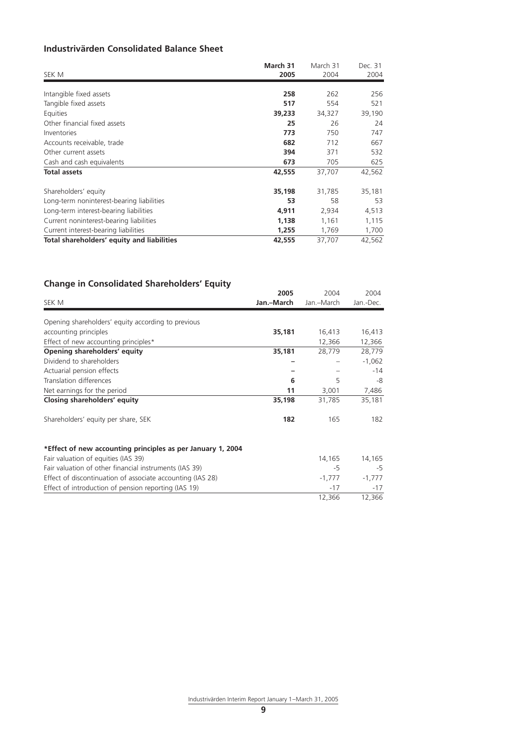## **Industrivärden Consolidated Balance Sheet**

| SEK M                                      | March 31<br>2005 | March 31<br>2004 | Dec. 31<br>2004 |
|--------------------------------------------|------------------|------------------|-----------------|
|                                            |                  |                  |                 |
| Intangible fixed assets                    | 258              | 262              | 256             |
| Tangible fixed assets                      | 517              | 554              | 521             |
| Equities                                   | 39,233           | 34,327           | 39,190          |
| Other financial fixed assets               | 25               | 26               | 24              |
| Inventories                                | 773              | 750              | 747             |
| Accounts receivable, trade                 | 682              | 712              | 667             |
| Other current assets                       | 394              | 371              | 532             |
| Cash and cash equivalents                  | 673              | 705              | 625             |
| <b>Total assets</b>                        | 42,555           | 37,707           | 42,562          |
| Shareholders' equity                       | 35,198           | 31,785           | 35,181          |
| Long-term noninterest-bearing liabilities  | 53               | 58               | 53              |
| Long-term interest-bearing liabilities     | 4,911            | 2,934            | 4,513           |
| Current noninterest-bearing liabilities    | 1,138            | 1,161            | 1,115           |
| Current interest-bearing liabilities       | 1,255            | 1,769            | 1,700           |
| Total shareholders' equity and liabilities | 42,555           | 37,707           | 42,562          |

## **Change in Consolidated Shareholders' Equity**

| SEK M                                                       | 2005<br>Jan.-March | 2004<br>Jan.-March | 2004<br>Jan.-Dec. |
|-------------------------------------------------------------|--------------------|--------------------|-------------------|
|                                                             |                    |                    |                   |
| Opening shareholders' equity according to previous          |                    |                    |                   |
| accounting principles                                       | 35,181             | 16,413             | 16,413            |
| Effect of new accounting principles*                        |                    | 12,366             | 12,366            |
| Opening shareholders' equity                                | 35,181             | 28,779             | 28,779            |
| Dividend to shareholders                                    |                    |                    | $-1,062$          |
| Actuarial pension effects                                   |                    |                    | $-14$             |
| Translation differences                                     | 6                  | 5                  | -8                |
| Net earnings for the period                                 | 11                 | 3,001              | 7,486             |
| Closing shareholders' equity                                | 35,198             | 31,785             | 35,181            |
| Shareholders' equity per share, SEK                         | 182                | 165                | 182               |
| *Effect of new accounting principles as per January 1, 2004 |                    |                    |                   |
| Fair valuation of equities (IAS 39)                         |                    | 14,165             | 14,165            |
| Fair valuation of other financial instruments (IAS 39)      |                    | $-5$               | $-5$              |
| Effect of discontinuation of associate accounting (IAS 28)  |                    | $-1,777$           | $-1,777$          |
| Effect of introduction of pension reporting (IAS 19)        |                    | $-17$              | $-17$             |
|                                                             |                    | 12,366             | 12,366            |

Industrivärden Interim Report January 1– March 31, 2005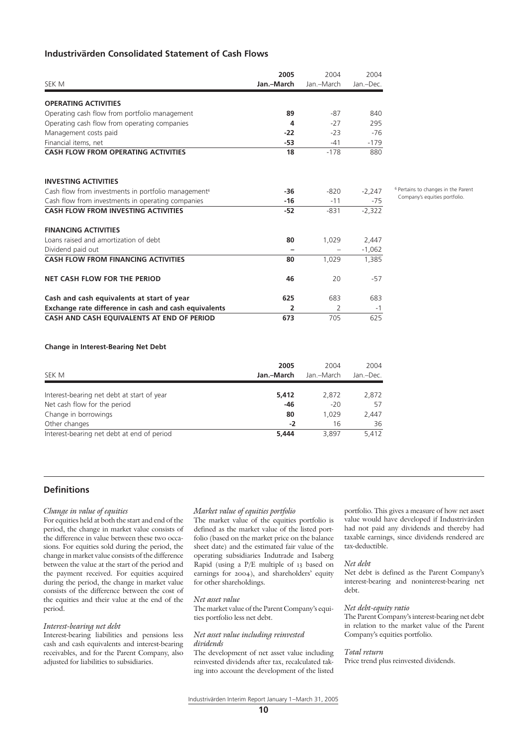## **Industrivärden Consolidated Statement of Cash Flows**

| SEK M                                                           | 2005<br>Jan.-March | 2004<br>Jan.-March | 2004<br>Jan.-Dec. |
|-----------------------------------------------------------------|--------------------|--------------------|-------------------|
| <b>OPERATING ACTIVITIES</b>                                     |                    |                    |                   |
| Operating cash flow from portfolio management                   | 89                 | $-87$              | 840               |
| Operating cash flow from operating companies                    | 4                  | $-27$              | 295               |
| Management costs paid                                           | $-22$              | $-23$              | $-76$             |
| Financial items, net                                            | $-53$              | $-41$              | $-179$            |
| <b>CASH FLOW FROM OPERATING ACTIVITIES</b>                      | 18                 | $-178$             | 880               |
| <b>INVESTING ACTIVITIES</b>                                     |                    |                    |                   |
| Cash flow from investments in portfolio management <sup>6</sup> | -36                | $-820$             | $-2,247$          |
| Cash flow from investments in operating companies               | $-16$              | $-11$              | $-75$             |
| <b>CASH FLOW FROM INVESTING ACTIVITIES</b>                      | $-52$              | $-831$             | $-2,322$          |
| <b>FINANCING ACTIVITIES</b>                                     |                    |                    |                   |
| Loans raised and amortization of debt                           | 80                 | 1,029              | 2,447             |
| Dividend paid out                                               |                    |                    | $-1,062$          |
| <b>CASH FLOW FROM FINANCING ACTIVITIES</b>                      | 80                 | 1.029              | 1,385             |
| NET CASH FLOW FOR THE PERIOD                                    | 46                 | 20                 | $-57$             |
| Cash and cash equivalents at start of year                      | 625                | 683                | 683               |
| Exchange rate difference in cash and cash equivalents           | 2                  | 2                  | -1                |
| CASH AND CASH EOUIVALENTS AT END OF PERIOD                      | 673                | 705                | 625               |

6 Pertains to changes in the Parent Company's equities portfolio.

#### **Change in Interest-Bearing Net Debt**

| SEK M                                      | 2005<br>Jan.–March | 2004<br>Jan.–March | 2004<br>Jan.-Dec. |
|--------------------------------------------|--------------------|--------------------|-------------------|
| Interest-bearing net debt at start of year | 5,412              | 2.872              | 2,872             |
| Net cash flow for the period               | -46                | $-20$              | 57                |
| Change in borrowings                       | 80                 | 1.029              | 2,447             |
| Other changes                              | $-2$               | 16                 | 36                |
| Interest-bearing net debt at end of period | 5.444              | 3.897              | 5,412             |

## **Definitions**

#### *Change in value of equities*

For equities held at both the start and end of the period, the change in market value consists of the difference in value between these two occasions. For equities sold during the period, the change in market value consists of the difference between the value at the start of the period and the payment received. For equities acquired during the period, the change in market value consists of the difference between the cost of the equities and their value at the end of the period.

#### *Interest-bearing net debt*

Interest-bearing liabilities and pensions less cash and cash equivalents and interest-bearing receivables, and for the Parent Company, also adjusted for liabilities to subsidiaries.

#### *Market value of equities portfolio*

The market value of the equities portfolio is defined as the market value of the listed portfolio (based on the market price on the balance sheet date) and the estimated fair value of the operating subsidiaries Indutrade and Isaberg Rapid (using a P/E multiple of 13 based on earnings for 2004), and shareholders' equity for other shareholdings.

#### *Net asset value*

The market value of the Parent Company's equities portfolio less net debt.

#### *Net asset value including reinvested dividends*

The development of net asset value including reinvested dividends after tax, recalculated taking into account the development of the listed portfolio. This gives a measure of how net asset value would have developed if Industrivärden had not paid any dividends and thereby had taxable earnings, since dividends rendered are tax-deductible.

#### *Net debt*

Net debt is defined as the Parent Company's interest-bearing and noninterest-bearing net debt.

#### *Net debt-equity ratio*

The Parent Company's interest-bearing net debt in relation to the market value of the Parent Company's equities portfolio.

#### *Total return*

Price trend plus reinvested dividends.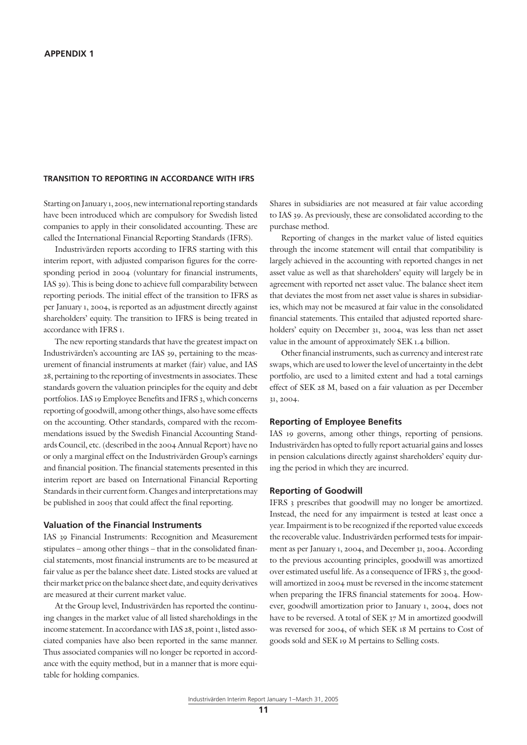## **TRANSITION TO REPORTING IN ACCORDANCE WITH IFRS**

Starting on January 1, 2005, new international reporting standards have been introduced which are compulsory for Swedish listed companies to apply in their consolidated accounting. These are called the International Financial Reporting Standards (IFRS).

Industrivärden reports according to IFRS starting with this interim report, with adjusted comparison figures for the corresponding period in 2004 (voluntary for financial instruments, IAS 39). This is being done to achieve full comparability between reporting periods. The initial effect of the transition to IFRS as per January 1, 2004, is reported as an adjustment directly against shareholders' equity. The transition to IFRS is being treated in accordance with IFRS 1.

The new reporting standards that have the greatest impact on Industrivärden's accounting are IAS 39, pertaining to the measurement of financial instruments at market (fair) value, and IAS 28, pertaining to the reporting of investments in associates. These standards govern the valuation principles for the equity and debt portfolios. IAS 19 Employee Benefits and IFRS 3, which concerns reporting of goodwill, among other things, also have some effects on the accounting. Other standards, compared with the recommendations issued by the Swedish Financial Accounting Standards Council, etc. (described in the 2004 Annual Report) have no or only a marginal effect on the Industrivärden Group's earnings and financial position. The financial statements presented in this interim report are based on International Financial Reporting Standards in their current form. Changes and interpretations may be published in 2005 that could affect the final reporting.

## **Valuation of the Financial Instruments**

IAS 39 Financial Instruments: Recognition and Measurement stipulates – among other things – that in the consolidated financial statements, most financial instruments are to be measured at fair value as per the balance sheet date. Listed stocks are valued at their market price on the balance sheet date, and equity derivatives are measured at their current market value.

At the Group level, Industrivärden has reported the continuing changes in the market value of all listed shareholdings in the income statement. In accordance with IAS 28, point 1, listed associated companies have also been reported in the same manner. Thus associated companies will no longer be reported in accordance with the equity method, but in a manner that is more equitable for holding companies.

Shares in subsidiaries are not measured at fair value according to IAS 39. As previously, these are consolidated according to the purchase method.

Reporting of changes in the market value of listed equities through the income statement will entail that compatibility is largely achieved in the accounting with reported changes in net asset value as well as that shareholders' equity will largely be in agreement with reported net asset value. The balance sheet item that deviates the most from net asset value is shares in subsidiaries, which may not be measured at fair value in the consolidated financial statements. This entailed that adjusted reported shareholders' equity on December 31, 2004, was less than net asset value in the amount of approximately SEK 1.4 billion.

Other financial instruments, such as currency and interest rate swaps, which are used to lower the level of uncertainty in the debt portfolio, are used to a limited extent and had a total earnings effect of SEK 28 M, based on a fair valuation as per December 31, 2004.

#### **Reporting of Employee Benefits**

IAS 19 governs, among other things, reporting of pensions. Industrivärden has opted to fully report actuarial gains and losses in pension calculations directly against shareholders' equity during the period in which they are incurred.

### **Reporting of Goodwill**

IFRS 3 prescribes that goodwill may no longer be amortized. Instead, the need for any impairment is tested at least once a year. Impairment is to be recognized if the reported value exceeds the recoverable value. Industrivärden performed tests for impairment as per January 1, 2004, and December 31, 2004. According to the previous accounting principles, goodwill was amortized over estimated useful life. As a consequence of IFRS 3, the goodwill amortized in 2004 must be reversed in the income statement when preparing the IFRS financial statements for 2004. However, goodwill amortization prior to January 1, 2004, does not have to be reversed. A total of SEK 37 M in amortized goodwill was reversed for 2004, of which SEK 18 M pertains to Cost of goods sold and SEK 19 M pertains to Selling costs.